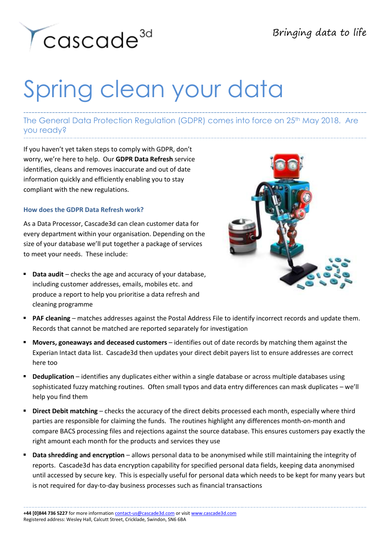

## Spring clean your data

## The General Data Protection Regulation (GDPR) comes into force on 25<sup>th</sup> May 2018. Are you ready?

If you haven't yet taken steps to comply with GDPR, don't worry, we're here to help. Our **GDPR Data Refresh** service identifies, cleans and removes inaccurate and out of date information quickly and efficiently enabling you to stay compliant with the new regulations.

## **How does the GDPR Data Refresh work?**

As a Data Processor, Cascade3d can clean customer data for every department within your organisation. Depending on the size of your database we'll put together a package of services to meet your needs. These include:

 **Data audit** – checks the age and accuracy of your database, including customer addresses, emails, mobiles etc. and produce a report to help you prioritise a data refresh and cleaning programme



- **PAF cleaning**  matches addresses against the Postal Address File to identify incorrect records and update them. Records that cannot be matched are reported separately for investigation
- **Movers, goneaways and deceased customers**  identifies out of date records by matching them against the Experian Intact data list. Cascade3d then updates your direct debit payers list to ensure addresses are correct here too
- **Deduplication** identifies any duplicates either within a single database or across multiple databases using sophisticated fuzzy matching routines. Often small typos and data entry differences can mask duplicates – we'll help you find them
- **Direct Debit matching**  checks the accuracy of the direct debits processed each month, especially where third parties are responsible for claiming the funds. The routines highlight any differences month-on-month and compare BACS processing files and rejections against the source database. This ensures customers pay exactly the right amount each month for the products and services they use
- **Data shredding and encryption** allows personal data to be anonymised while still maintaining the integrity of reports. Cascade3d has data encryption capability for specified personal data fields, keeping data anonymised until accessed by secure key. This is especially useful for personal data which needs to be kept for many years but is not required for day-to-day business processes such as financial transactions